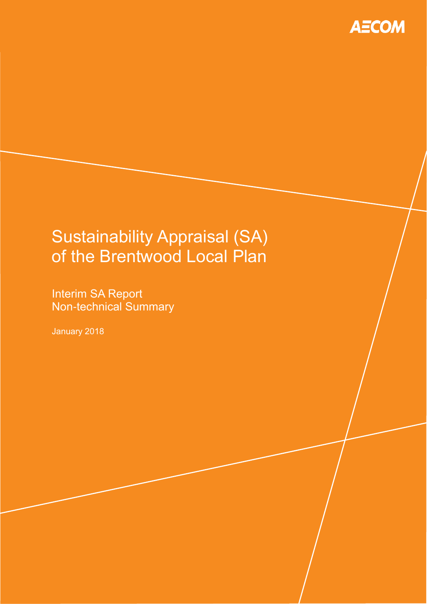

# Sustainability Appraisal (SA) of the Brentwood Local Plan

Interim SA Report Non-technical Summary

January 2018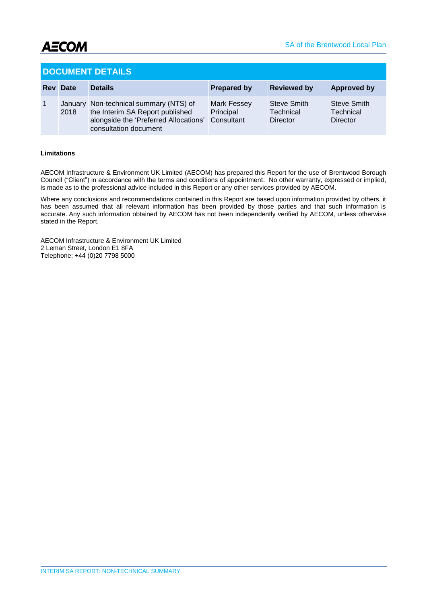

#### **DOCUMENT DETAILS**

| <b>Rev Date</b> | <b>Details</b>                                                                                                                              | <b>Prepared by</b>                            | <b>Reviewed by</b>                   | <b>Approved by</b>                          |
|-----------------|---------------------------------------------------------------------------------------------------------------------------------------------|-----------------------------------------------|--------------------------------------|---------------------------------------------|
| 2018            | January Non-technical summary (NTS) of<br>the Interim SA Report published<br>alongside the 'Preferred Allocations'<br>consultation document | <b>Mark Fessey</b><br>Principal<br>Consultant | Steve Smith<br>Technical<br>Director | <b>Steve Smith</b><br>Technical<br>Director |

#### **Limitations**

AECOM Infrastructure & Environment UK Limited (AECOM) has prepared this Report for the use of Brentwood Borough Council ("Client") in accordance with the terms and conditions of appointment. No other warranty, expressed or implied, is made as to the professional advice included in this Report or any other services provided by AECOM.

Where any conclusions and recommendations contained in this Report are based upon information provided by others, it has been assumed that all relevant information has been provided by those parties and that such information is accurate. Any such information obtained by AECOM has not been independently verified by AECOM, unless otherwise stated in the Report.

AECOM Infrastructure & Environment UK Limited 2 Leman Street, London E1 8FA Telephone: +44 (0)20 7798 5000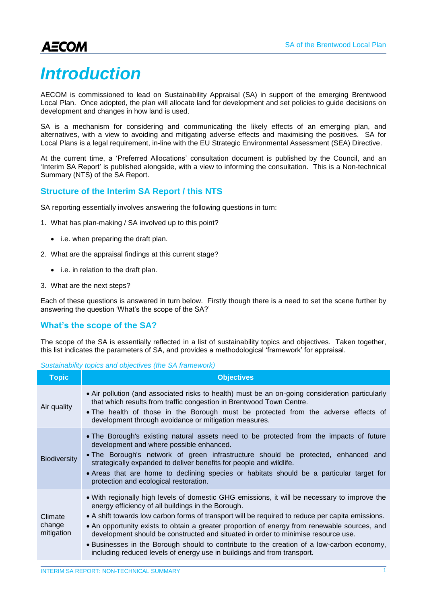# *Introduction*

AECOM is commissioned to lead on Sustainability Appraisal (SA) in support of the emerging Brentwood Local Plan. Once adopted, the plan will allocate land for development and set policies to guide decisions on development and changes in how land is used.

SA is a mechanism for considering and communicating the likely effects of an emerging plan, and alternatives, with a view to avoiding and mitigating adverse effects and maximising the positives. SA for Local Plans is a legal requirement, in-line with the EU Strategic Environmental Assessment (SEA) Directive.

At the current time, a 'Preferred Allocations' consultation document is published by the Council, and an 'Interim SA Report' is published alongside, with a view to informing the consultation. This is a Non-technical Summary (NTS) of the SA Report.

### **Structure of the Interim SA Report / this NTS**

SA reporting essentially involves answering the following questions in turn:

- 1. What has plan-making / SA involved up to this point?
	- i.e. when preparing the draft plan.
- 2. What are the appraisal findings at this current stage?
	- i.e. in relation to the draft plan.
- 3. What are the next steps?

Each of these questions is answered in turn below. Firstly though there is a need to set the scene further by answering the question 'What's the scope of the SA?'

### **What's the scope of the SA?**

The scope of the SA is essentially reflected in a list of sustainability topics and objectives. Taken together, this list indicates the parameters of SA, and provides a methodological 'framework' for appraisal.

#### *Sustainability topics and objectives (the SA framework)*

| Topic                           | <b>Objectives</b>                                                                                                                                                                                                                                                                                                                                                                                                                                                                                                                                                                                                   |  |  |  |  |
|---------------------------------|---------------------------------------------------------------------------------------------------------------------------------------------------------------------------------------------------------------------------------------------------------------------------------------------------------------------------------------------------------------------------------------------------------------------------------------------------------------------------------------------------------------------------------------------------------------------------------------------------------------------|--|--|--|--|
| Air quality                     | • Air pollution (and associated risks to health) must be an on-going consideration particularly<br>that which results from traffic congestion in Brentwood Town Centre.<br>• The health of those in the Borough must be protected from the adverse effects of<br>development through avoidance or mitigation measures.                                                                                                                                                                                                                                                                                              |  |  |  |  |
| <b>Biodiversity</b>             | • The Borough's existing natural assets need to be protected from the impacts of future<br>development and where possible enhanced.<br>• The Borough's network of green infrastructure should be protected, enhanced and<br>strategically expanded to deliver benefits for people and wildlife.<br>• Areas that are home to declining species or habitats should be a particular target for<br>protection and ecological restoration.                                                                                                                                                                               |  |  |  |  |
| Climate<br>change<br>mitigation | • With regionally high levels of domestic GHG emissions, it will be necessary to improve the<br>energy efficiency of all buildings in the Borough.<br>• A shift towards low carbon forms of transport will be required to reduce per capita emissions.<br>• An opportunity exists to obtain a greater proportion of energy from renewable sources, and<br>development should be constructed and situated in order to minimise resource use.<br>. Businesses in the Borough should to contribute to the creation of a low-carbon economy,<br>including reduced levels of energy use in buildings and from transport. |  |  |  |  |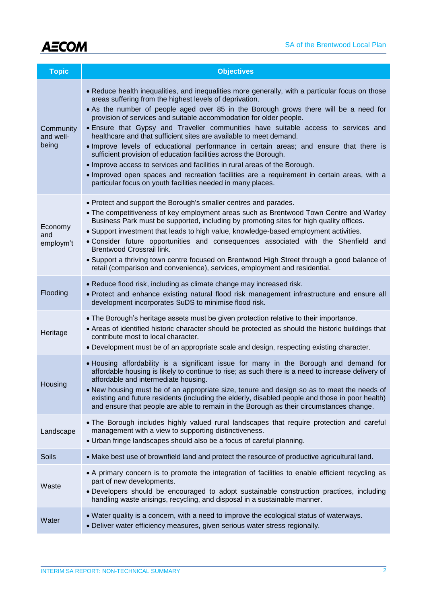

| <b>Topic</b>                    | <b>Objectives</b>                                                                                                                                                                                                                                                                                                                                                                                                                                                                                                                                                                                                                                                                                                                                                                                                                                                                              |  |  |  |  |  |
|---------------------------------|------------------------------------------------------------------------------------------------------------------------------------------------------------------------------------------------------------------------------------------------------------------------------------------------------------------------------------------------------------------------------------------------------------------------------------------------------------------------------------------------------------------------------------------------------------------------------------------------------------------------------------------------------------------------------------------------------------------------------------------------------------------------------------------------------------------------------------------------------------------------------------------------|--|--|--|--|--|
| Community<br>and well-<br>being | • Reduce health inequalities, and inequalities more generally, with a particular focus on those<br>areas suffering from the highest levels of deprivation.<br>• As the number of people aged over 85 in the Borough grows there will be a need for<br>provision of services and suitable accommodation for older people.<br>. Ensure that Gypsy and Traveller communities have suitable access to services and<br>healthcare and that sufficient sites are available to meet demand.<br>. Improve levels of educational performance in certain areas; and ensure that there is<br>sufficient provision of education facilities across the Borough.<br>. Improve access to services and facilities in rural areas of the Borough.<br>. Improved open spaces and recreation facilities are a requirement in certain areas, with a<br>particular focus on youth facilities needed in many places. |  |  |  |  |  |
| Economy<br>and<br>employm't     | • Protect and support the Borough's smaller centres and parades.<br>• The competitiveness of key employment areas such as Brentwood Town Centre and Warley<br>Business Park must be supported, including by promoting sites for high quality offices.<br>• Support investment that leads to high value, knowledge-based employment activities.<br>. Consider future opportunities and consequences associated with the Shenfield and<br>Brentwood Crossrail link.<br>. Support a thriving town centre focused on Brentwood High Street through a good balance of<br>retail (comparison and convenience), services, employment and residential.                                                                                                                                                                                                                                                 |  |  |  |  |  |
| Flooding                        | . Reduce flood risk, including as climate change may increased risk.<br>• Protect and enhance existing natural flood risk management infrastructure and ensure all<br>development incorporates SuDS to minimise flood risk.                                                                                                                                                                                                                                                                                                                                                                                                                                                                                                                                                                                                                                                                    |  |  |  |  |  |
| Heritage                        | . The Borough's heritage assets must be given protection relative to their importance.<br>• Areas of identified historic character should be protected as should the historic buildings that<br>contribute most to local character.<br>. Development must be of an appropriate scale and design, respecting existing character.                                                                                                                                                                                                                                                                                                                                                                                                                                                                                                                                                                |  |  |  |  |  |
| <b>Housing</b>                  | . Housing affordability is a significant issue for many in the Borough and demand for<br>affordable housing is likely to continue to rise; as such there is a need to increase delivery of<br>affordable and intermediate housing.<br>. New housing must be of an appropriate size, tenure and design so as to meet the needs of<br>existing and future residents (including the elderly, disabled people and those in poor health)<br>and ensure that people are able to remain in the Borough as their circumstances change.                                                                                                                                                                                                                                                                                                                                                                 |  |  |  |  |  |
| Landscape                       | . The Borough includes highly valued rural landscapes that require protection and careful<br>management with a view to supporting distinctiveness.<br>• Urban fringe landscapes should also be a focus of careful planning.                                                                                                                                                                                                                                                                                                                                                                                                                                                                                                                                                                                                                                                                    |  |  |  |  |  |
| <b>Soils</b>                    | • Make best use of brownfield land and protect the resource of productive agricultural land.                                                                                                                                                                                                                                                                                                                                                                                                                                                                                                                                                                                                                                                                                                                                                                                                   |  |  |  |  |  |
| Waste                           | • A primary concern is to promote the integration of facilities to enable efficient recycling as<br>part of new developments.<br>• Developers should be encouraged to adopt sustainable construction practices, including<br>handling waste arisings, recycling, and disposal in a sustainable manner.                                                                                                                                                                                                                                                                                                                                                                                                                                                                                                                                                                                         |  |  |  |  |  |
| Water                           | . Water quality is a concern, with a need to improve the ecological status of waterways.<br>. Deliver water efficiency measures, given serious water stress regionally.                                                                                                                                                                                                                                                                                                                                                                                                                                                                                                                                                                                                                                                                                                                        |  |  |  |  |  |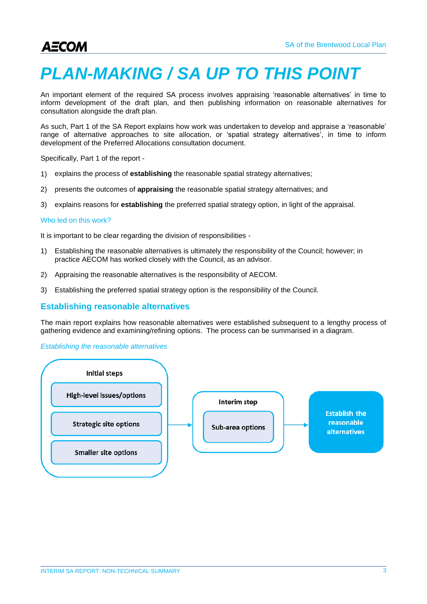# *PLAN-MAKING / SA UP TO THIS POINT*

An important element of the required SA process involves appraising 'reasonable alternatives' in time to inform development of the draft plan, and then publishing information on reasonable alternatives for consultation alongside the draft plan.

As such, Part 1 of the SA Report explains how work was undertaken to develop and appraise a 'reasonable' range of alternative approaches to site allocation, or 'spatial strategy alternatives', in time to inform development of the Preferred Allocations consultation document.

Specifically, Part 1 of the report -

- 1) explains the process of **establishing** the reasonable spatial strategy alternatives;
- 2) presents the outcomes of **appraising** the reasonable spatial strategy alternatives; and
- 3) explains reasons for **establishing** the preferred spatial strategy option, in light of the appraisal.

#### Who led on this work?

It is important to be clear regarding the division of responsibilities -

- 1) Establishing the reasonable alternatives is ultimately the responsibility of the Council; however; in practice AECOM has worked closely with the Council, as an advisor.
- 2) Appraising the reasonable alternatives is the responsibility of AECOM.
- 3) Establishing the preferred spatial strategy option is the responsibility of the Council.

#### **Establishing reasonable alternatives**

The main report explains how reasonable alternatives were established subsequent to a lengthy process of gathering evidence and examining/refining options. The process can be summarised in a diagram.

#### *Establishing the reasonable alternatives*

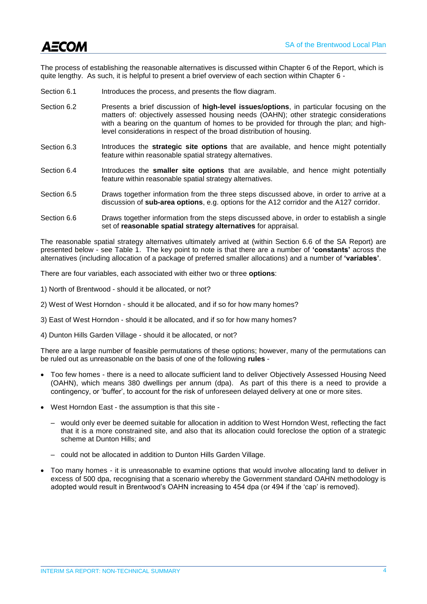

The process of establishing the reasonable alternatives is discussed within Chapter 6 of the Report, which is quite lengthy. As such, it is helpful to present a brief overview of each section within Chapter 6 -

- Section 6.1 **Introduces the process, and presents the flow diagram.**
- Section 6.2 Presents a brief discussion of **high-level issues/options**, in particular focusing on the matters of: objectively assessed housing needs (OAHN); other strategic considerations with a bearing on the quantum of homes to be provided for through the plan; and highlevel considerations in respect of the broad distribution of housing.
- Section 6.3 Introduces the **strategic site options** that are available, and hence might potentially feature within reasonable spatial strategy alternatives.
- Section 6.4 Introduces the **smaller site options** that are available, and hence might potentially feature within reasonable spatial strategy alternatives.
- Section 6.5 Draws together information from the three steps discussed above, in order to arrive at a discussion of **sub-area options**, e.g. options for the A12 corridor and the A127 corridor.
- Section 6.6 Draws together information from the steps discussed above, in order to establish a single set of **reasonable spatial strategy alternatives** for appraisal.

The reasonable spatial strategy alternatives ultimately arrived at (within Section 6.6 of the SA Report) are presented below - see Table 1. The key point to note is that there are a number of **'constants'** across the alternatives (including allocation of a package of preferred smaller allocations) and a number of **'variables'**.

There are four variables, each associated with either two or three **options**:

- 1) North of Brentwood should it be allocated, or not?
- 2) West of West Horndon should it be allocated, and if so for how many homes?
- 3) East of West Horndon should it be allocated, and if so for how many homes?
- 4) Dunton Hills Garden Village should it be allocated, or not?

There are a large number of feasible permutations of these options; however, many of the permutations can be ruled out as unreasonable on the basis of one of the following **rules** -

- Too few homes there is a need to allocate sufficient land to deliver Objectively Assessed Housing Need (OAHN), which means 380 dwellings per annum (dpa). As part of this there is a need to provide a contingency, or 'buffer', to account for the risk of unforeseen delayed delivery at one or more sites.
- West Horndon East the assumption is that this site
	- would only ever be deemed suitable for allocation in addition to West Horndon West, reflecting the fact that it is a more constrained site, and also that its allocation could foreclose the option of a strategic scheme at Dunton Hills; and
	- could not be allocated in addition to Dunton Hills Garden Village.
- Too many homes it is unreasonable to examine options that would involve allocating land to deliver in excess of 500 dpa, recognising that a scenario whereby the Government standard OAHN methodology is adopted would result in Brentwood's OAHN increasing to 454 dpa (or 494 if the 'cap' is removed).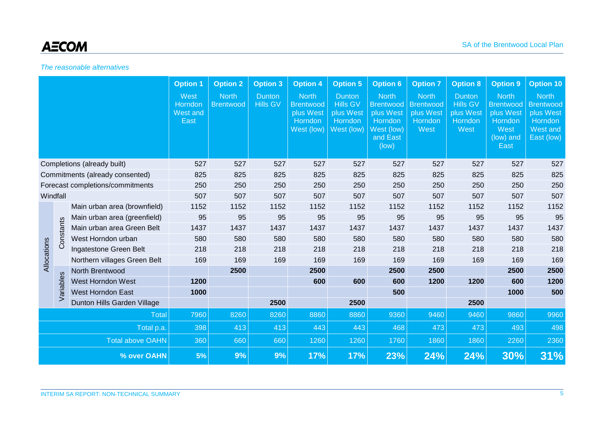## *The reasonable alternatives*

|                                  |           | <b>Option 1</b>              | <b>Option 2</b>                     | <b>Option 3</b>                  | <b>Option 4</b>                  | <b>Option 5</b>                                                        | <b>Option 6</b>                                                        | <b>Option 7</b>                                                                             | <b>Option 8</b>                                                  | <b>Option 9</b>                                                  | <b>Option 10</b>                                                                      |                                                                                    |
|----------------------------------|-----------|------------------------------|-------------------------------------|----------------------------------|----------------------------------|------------------------------------------------------------------------|------------------------------------------------------------------------|---------------------------------------------------------------------------------------------|------------------------------------------------------------------|------------------------------------------------------------------|---------------------------------------------------------------------------------------|------------------------------------------------------------------------------------|
|                                  |           |                              | West<br>Horndon<br>West and<br>East | <b>North</b><br><b>Brentwood</b> | <b>Dunton</b><br><b>Hills GV</b> | <b>North</b><br><b>Brentwood</b><br>plus West<br>Horndon<br>West (low) | <b>Dunton</b><br><b>Hills GV</b><br>plus West<br>Horndon<br>West (low) | <b>North</b><br><b>Brentwood</b><br>plus West<br>Horndon<br>West (low)<br>and East<br>(low) | <b>North</b><br><b>Brentwood</b><br>plus West<br>Horndon<br>West | <b>Dunton</b><br><b>Hills GV</b><br>plus West<br>Horndon<br>West | <b>North</b><br><b>Brentwood</b><br>plus West<br>Horndon<br>West<br>(low) and<br>East | <b>North</b><br><b>Brentwood</b><br>plus West<br>Horndon<br>West and<br>East (low) |
| Completions (already built)      |           |                              | 527                                 | 527                              | 527                              | 527                                                                    | 527                                                                    | 527                                                                                         | 527                                                              | 527                                                              | 527                                                                                   | 527                                                                                |
| Commitments (already consented)  |           |                              | 825                                 | 825                              | 825                              | 825                                                                    | 825                                                                    | 825                                                                                         | 825                                                              | 825                                                              | 825                                                                                   | 825                                                                                |
| Forecast completions/commitments |           |                              | 250                                 | 250                              | 250                              | 250                                                                    | 250                                                                    | 250                                                                                         | 250                                                              | 250                                                              | 250                                                                                   | 250                                                                                |
| Windfall                         |           | 507                          | 507                                 | 507                              | 507                              | 507                                                                    | 507                                                                    | 507                                                                                         | 507                                                              | 507                                                              | 507                                                                                   |                                                                                    |
|                                  |           | Main urban area (brownfield) | 1152                                | 1152                             | 1152                             | 1152                                                                   | 1152                                                                   | 1152                                                                                        | 1152                                                             | 1152                                                             | 1152                                                                                  | 1152                                                                               |
| Allocations                      |           | Main urban area (greenfield) | 95                                  | 95                               | 95                               | 95                                                                     | 95                                                                     | 95                                                                                          | 95                                                               | 95                                                               | 95                                                                                    | 95                                                                                 |
|                                  | Constants | Main urban area Green Belt   | 1437                                | 1437                             | 1437                             | 1437                                                                   | 1437                                                                   | 1437                                                                                        | 1437                                                             | 1437                                                             | 1437                                                                                  | 1437                                                                               |
|                                  |           | West Horndon urban           | 580                                 | 580                              | 580                              | 580                                                                    | 580                                                                    | 580                                                                                         | 580                                                              | 580                                                              | 580                                                                                   | 580                                                                                |
|                                  |           | Ingatestone Green Belt       | 218                                 | 218                              | 218                              | 218                                                                    | 218                                                                    | 218                                                                                         | 218                                                              | 218                                                              | 218                                                                                   | 218                                                                                |
|                                  |           | Northern villages Green Belt | 169                                 | 169                              | 169                              | 169                                                                    | 169                                                                    | 169                                                                                         | 169                                                              | 169                                                              | 169                                                                                   | 169                                                                                |
|                                  |           | North Brentwood              |                                     | 2500                             |                                  | 2500                                                                   |                                                                        | 2500                                                                                        | 2500                                                             |                                                                  | 2500                                                                                  | 2500                                                                               |
|                                  | Variables | West Horndon West            | 1200                                |                                  |                                  | 600                                                                    | 600                                                                    | 600                                                                                         | 1200                                                             | 1200                                                             | 600                                                                                   | 1200                                                                               |
|                                  |           | West Horndon East            | 1000                                |                                  |                                  |                                                                        |                                                                        | 500                                                                                         |                                                                  |                                                                  | 1000                                                                                  | 500                                                                                |
|                                  |           | Dunton Hills Garden Village  |                                     |                                  | 2500                             |                                                                        | 2500                                                                   |                                                                                             |                                                                  | 2500                                                             |                                                                                       |                                                                                    |
| Total                            |           | 7960                         | 8260                                | 8260                             | 8860                             | 8860                                                                   | 9360                                                                   | 9460                                                                                        | 9460                                                             | 9860                                                             | 9960                                                                                  |                                                                                    |
| Total p.a.                       |           |                              | 398                                 | 413                              | 413                              | 443                                                                    | 443                                                                    | 468                                                                                         | 473                                                              | 473                                                              | 493                                                                                   | 498                                                                                |
| <b>Total above OAHN</b>          |           |                              | 360                                 | 660                              | 660                              | 1260                                                                   | 1260                                                                   | 1760                                                                                        | 1860                                                             | 1860                                                             | 2260                                                                                  | 2360                                                                               |
| % over OAHN                      |           |                              | 5%                                  | 9%                               | 9%                               | <b>17%</b>                                                             | <b>17%</b>                                                             | 23%                                                                                         | 24%                                                              | 24%                                                              | 30%                                                                                   | 31%                                                                                |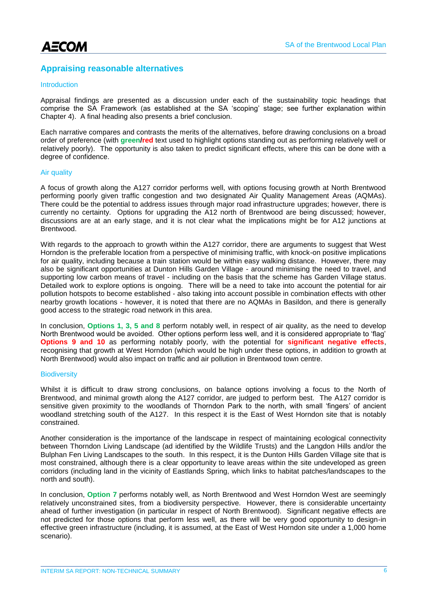## **Appraising reasonable alternatives**

#### Introduction

Appraisal findings are presented as a discussion under each of the sustainability topic headings that comprise the SA Framework (as established at the SA 'scoping' stage; see further explanation within Chapter 4). A final heading also presents a brief conclusion.

Each narrative compares and contrasts the merits of the alternatives, before drawing conclusions on a broad order of preference (with **green/red** text used to highlight options standing out as performing relatively well or relatively poorly). The opportunity is also taken to predict significant effects, where this can be done with a degree of confidence.

#### Air quality

A focus of growth along the A127 corridor performs well, with options focusing growth at North Brentwood performing poorly given traffic congestion and two designated Air Quality Management Areas (AQMAs). There could be the potential to address issues through major road infrastructure upgrades; however, there is currently no certainty. Options for upgrading the A12 north of Brentwood are being discussed; however, discussions are at an early stage, and it is not clear what the implications might be for A12 junctions at Brentwood.

With regards to the approach to growth within the A127 corridor, there are arguments to suggest that West Horndon is the preferable location from a perspective of minimising traffic, with knock-on positive implications for air quality, including because a train station would be within easy walking distance. However, there may also be significant opportunities at Dunton Hills Garden Village - around minimising the need to travel, and supporting low carbon means of travel - including on the basis that the scheme has Garden Village status. Detailed work to explore options is ongoing. There will be a need to take into account the potential for air pollution hotspots to become established - also taking into account possible in combination effects with other nearby growth locations - however, it is noted that there are no AQMAs in Basildon, and there is generally good access to the strategic road network in this area.

In conclusion, **Options 1, 3, 5 and 8** perform notably well, in respect of air quality, as the need to develop North Brentwood would be avoided. Other options perform less well, and it is considered appropriate to 'flag' **Options 9 and 10** as performing notably poorly, with the potential for **significant negative effects**, recognising that growth at West Horndon (which would be high under these options, in addition to growth at North Brentwood) would also impact on traffic and air pollution in Brentwood town centre.

#### **Biodiversity**

Whilst it is difficult to draw strong conclusions, on balance options involving a focus to the North of Brentwood, and minimal growth along the A127 corridor, are judged to perform best. The A127 corridor is sensitive given proximity to the woodlands of Thorndon Park to the north, with small 'fingers' of ancient woodland stretching south of the A127. In this respect it is the East of West Horndon site that is notably constrained.

Another consideration is the importance of the landscape in respect of maintaining ecological connectivity between Thorndon Living Landscape (ad identified by the Wildlife Trusts) and the Langdon Hills and/or the Bulphan Fen Living Landscapes to the south. In this respect, it is the Dunton Hills Garden Village site that is most constrained, although there is a clear opportunity to leave areas within the site undeveloped as green corridors (including land in the vicinity of Eastlands Spring, which links to habitat patches/landscapes to the north and south).

In conclusion, **Option 7** performs notably well, as North Brentwood and West Horndon West are seemingly relatively unconstrained sites, from a biodiversity perspective. However, there is considerable uncertainty ahead of further investigation (in particular in respect of North Brentwood). Significant negative effects are not predicted for those options that perform less well, as there will be very good opportunity to design-in effective green infrastructure (including, it is assumed, at the East of West Horndon site under a 1,000 home scenario).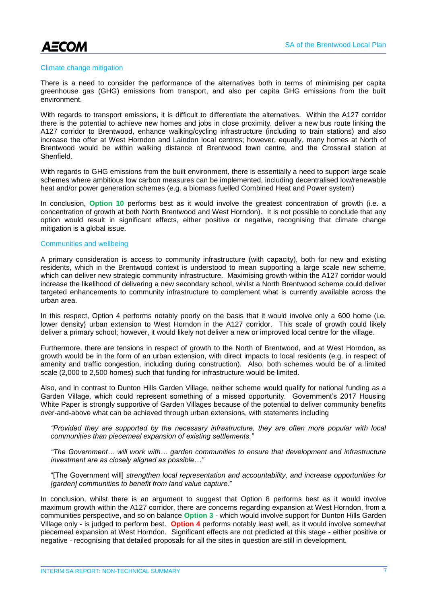AECOM

#### Climate change mitigation

There is a need to consider the performance of the alternatives both in terms of minimising per capita greenhouse gas (GHG) emissions from transport, and also per capita GHG emissions from the built environment.

With regards to transport emissions, it is difficult to differentiate the alternatives. Within the A127 corridor there is the potential to achieve new homes and jobs in close proximity, deliver a new bus route linking the A127 corridor to Brentwood, enhance walking/cycling infrastructure (including to train stations) and also increase the offer at West Horndon and Laindon local centres; however, equally, many homes at North of Brentwood would be within walking distance of Brentwood town centre, and the Crossrail station at **Shenfield** 

With regards to GHG emissions from the built environment, there is essentially a need to support large scale schemes where ambitious low carbon measures can be implemented, including decentralised low/renewable heat and/or power generation schemes (e.g. a biomass fuelled Combined Heat and Power system)

In conclusion, **Option 10** performs best as it would involve the greatest concentration of growth (i.e. a concentration of growth at both North Brentwood and West Horndon). It is not possible to conclude that any option would result in significant effects, either positive or negative, recognising that climate change mitigation is a global issue.

#### Communities and wellbeing

A primary consideration is access to community infrastructure (with capacity), both for new and existing residents, which in the Brentwood context is understood to mean supporting a large scale new scheme, which can deliver new strategic community infrastructure. Maximising growth within the A127 corridor would increase the likelihood of delivering a new secondary school, whilst a North Brentwood scheme could deliver targeted enhancements to community infrastructure to complement what is currently available across the urban area.

In this respect, Option 4 performs notably poorly on the basis that it would involve only a 600 home (i.e. lower density) urban extension to West Horndon in the A127 corridor. This scale of growth could likely deliver a primary school; however, it would likely not deliver a new or improved local centre for the village.

Furthermore, there are tensions in respect of growth to the North of Brentwood, and at West Horndon, as growth would be in the form of an urban extension, with direct impacts to local residents (e.g. in respect of amenity and traffic congestion, including during construction). Also, both schemes would be of a limited scale (2,000 to 2,500 homes) such that funding for infrastructure would be limited.

Also, and in contrast to Dunton Hills Garden Village, neither scheme would qualify for national funding as a Garden Village, which could represent something of a missed opportunity. Government's 2017 Housing White Paper is strongly supportive of Garden Villages because of the potential to deliver community benefits over-and-above what can be achieved through urban extensions, with statements including

*"Provided they are supported by the necessary infrastructure, they are often more popular with local communities than piecemeal expansion of existing settlements."* 

*"The Government… will work with… garden communities to ensure that development and infrastructure investment are as closely aligned as possible…"* 

"[The Government will] *strengthen local representation and accountability, and increase opportunities for [garden] communities to benefit from land value capture*."

In conclusion, whilst there is an argument to suggest that Option 8 performs best as it would involve maximum growth within the A127 corridor, there are concerns regarding expansion at West Horndon, from a communities perspective, and so on balance **Option 3** - which would involve support for Dunton Hills Garden Village only - is judged to perform best. **Option 4** performs notably least well, as it would involve somewhat piecemeal expansion at West Horndon. Significant effects are not predicted at this stage - either positive or negative - recognising that detailed proposals for all the sites in question are still in development.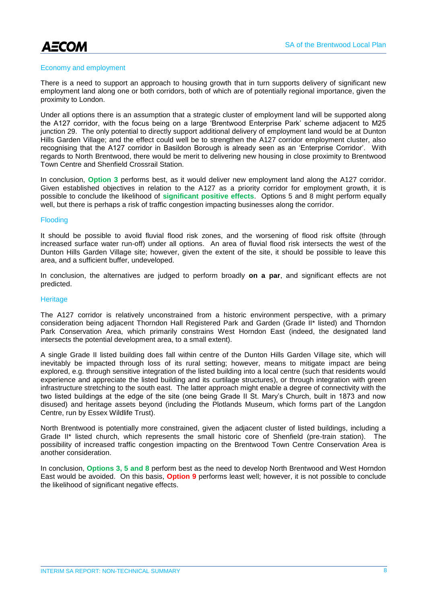AECOM

#### Economy and employment

There is a need to support an approach to housing growth that in turn supports delivery of significant new employment land along one or both corridors, both of which are of potentially regional importance, given the proximity to London.

Under all options there is an assumption that a strategic cluster of employment land will be supported along the A127 corridor, with the focus being on a large 'Brentwood Enterprise Park' scheme adjacent to M25 junction 29. The only potential to directly support additional delivery of employment land would be at Dunton Hills Garden Village; and the effect could well be to strengthen the A127 corridor employment cluster, also recognising that the A127 corridor in Basildon Borough is already seen as an 'Enterprise Corridor'. With regards to North Brentwood, there would be merit to delivering new housing in close proximity to Brentwood Town Centre and Shenfield Crossrail Station.

In conclusion, **Option 3** performs best, as it would deliver new employment land along the A127 corridor. Given established objectives in relation to the A127 as a priority corridor for employment growth, it is possible to conclude the likelihood of **significant positive effects**. Options 5 and 8 might perform equally well, but there is perhaps a risk of traffic congestion impacting businesses along the corridor.

#### **Flooding**

It should be possible to avoid fluvial flood risk zones, and the worsening of flood risk offsite (through increased surface water run-off) under all options. An area of fluvial flood risk intersects the west of the Dunton Hills Garden Village site; however, given the extent of the site, it should be possible to leave this area, and a sufficient buffer, undeveloped.

In conclusion, the alternatives are judged to perform broadly **on a par**, and significant effects are not predicted.

#### **Heritage**

The A127 corridor is relatively unconstrained from a historic environment perspective, with a primary consideration being adjacent Thorndon Hall Registered Park and Garden (Grade II\* listed) and Thorndon Park Conservation Area, which primarily constrains West Horndon East (indeed, the designated land intersects the potential development area, to a small extent).

A single Grade II listed building does fall within centre of the Dunton Hills Garden Village site, which will inevitably be impacted through loss of its rural setting; however, means to mitigate impact are being explored, e.g. through sensitive integration of the listed building into a local centre (such that residents would experience and appreciate the listed building and its curtilage structures), or through integration with green infrastructure stretching to the south east. The latter approach might enable a degree of connectivity with the two listed buildings at the edge of the site (one being Grade II St. Mary's Church, built in 1873 and now disused) and heritage assets beyond (including the Plotlands Museum, which forms part of the Langdon Centre, run by Essex Wildlife Trust).

North Brentwood is potentially more constrained, given the adjacent cluster of listed buildings, including a Grade II\* listed church, which represents the small historic core of Shenfield (pre-train station). The possibility of increased traffic congestion impacting on the Brentwood Town Centre Conservation Area is another consideration.

In conclusion, **Options 3, 5 and 8** perform best as the need to develop North Brentwood and West Horndon East would be avoided. On this basis, **Option 9** performs least well; however, it is not possible to conclude the likelihood of significant negative effects.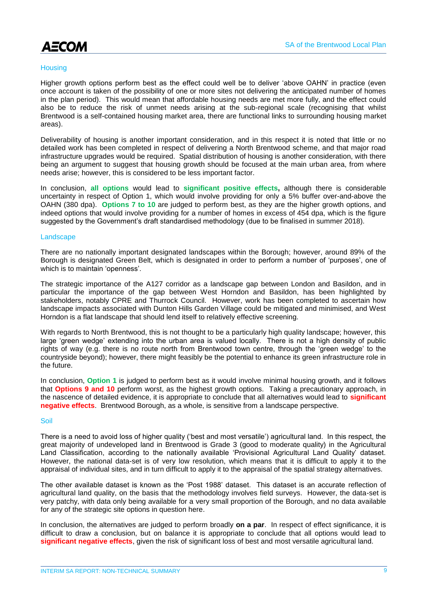

#### **Housing**

Higher growth options perform best as the effect could well be to deliver 'above OAHN' in practice (even once account is taken of the possibility of one or more sites not delivering the anticipated number of homes in the plan period). This would mean that affordable housing needs are met more fully, and the effect could also be to reduce the risk of unmet needs arising at the sub-regional scale (recognising that whilst Brentwood is a self-contained housing market area, there are functional links to surrounding housing market areas).

Deliverability of housing is another important consideration, and in this respect it is noted that little or no detailed work has been completed in respect of delivering a North Brentwood scheme, and that major road infrastructure upgrades would be required. Spatial distribution of housing is another consideration, with there being an argument to suggest that housing growth should be focused at the main urban area, from where needs arise; however, this is considered to be less important factor.

In conclusion, **all options** would lead to **significant positive effects,** although there is considerable uncertainty in respect of Option 1, which would involve providing for only a 5% buffer over-and-above the OAHN (380 dpa). **Options 7 to 10** are judged to perform best, as they are the higher growth options, and indeed options that would involve providing for a number of homes in excess of 454 dpa, which is the figure suggested by the Government's draft standardised methodology (due to be finalised in summer 2018).

#### Landscape

There are no nationally important designated landscapes within the Borough; however, around 89% of the Borough is designated Green Belt, which is designated in order to perform a number of 'purposes', one of which is to maintain 'openness'.

The strategic importance of the A127 corridor as a landscape gap between London and Basildon, and in particular the importance of the gap between West Horndon and Basildon, has been highlighted by stakeholders, notably CPRE and Thurrock Council. However, work has been completed to ascertain how landscape impacts associated with Dunton Hills Garden Village could be mitigated and minimised, and West Horndon is a flat landscape that should lend itself to relatively effective screening.

With regards to North Brentwood, this is not thought to be a particularly high quality landscape; however, this large 'green wedge' extending into the urban area is valued locally. There is not a high density of public rights of way (e.g. there is no route north from Brentwood town centre, through the 'green wedge' to the countryside beyond); however, there might feasibly be the potential to enhance its green infrastructure role in the future.

In conclusion, **Option 1** is judged to perform best as it would involve minimal housing growth, and it follows that **Options 9 and 10** perform worst, as the highest growth options. Taking a precautionary approach, in the nascence of detailed evidence, it is appropriate to conclude that all alternatives would lead to **significant negative effects**. Brentwood Borough, as a whole, is sensitive from a landscape perspective.

#### Soil

There is a need to avoid loss of higher quality ('best and most versatile') agricultural land. In this respect, the great majority of undeveloped land in Brentwood is Grade 3 (good to moderate quality) in the Agricultural Land Classification, according to the nationally available 'Provisional Agricultural Land Quality' dataset. However, the national data-set is of very low resolution, which means that it is difficult to apply it to the appraisal of individual sites, and in turn difficult to apply it to the appraisal of the spatial strategy alternatives.

The other available dataset is known as the 'Post 1988' dataset. This dataset is an accurate reflection of agricultural land quality, on the basis that the methodology involves field surveys. However, the data-set is very patchy, with data only being available for a very small proportion of the Borough, and no data available for any of the strategic site options in question here.

In conclusion, the alternatives are judged to perform broadly **on a par**. In respect of effect significance, it is difficult to draw a conclusion, but on balance it is appropriate to conclude that all options would lead to **significant negative effects**, given the risk of significant loss of best and most versatile agricultural land.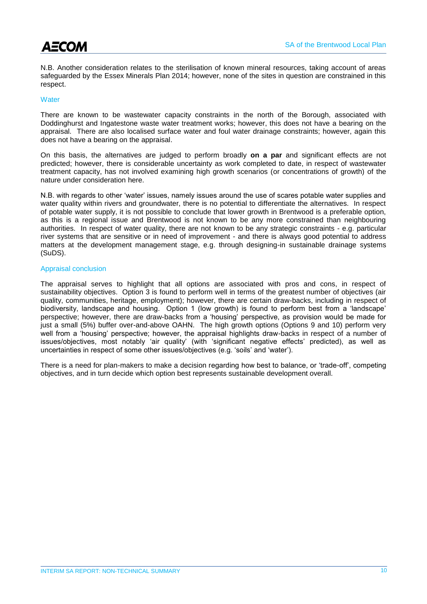

N.B. Another consideration relates to the sterilisation of known mineral resources, taking account of areas safeguarded by the Essex Minerals Plan 2014; however, none of the sites in question are constrained in this respect.

#### **Water**

There are known to be wastewater capacity constraints in the north of the Borough, associated with Doddinghurst and Ingatestone waste water treatment works; however, this does not have a bearing on the appraisal. There are also localised surface water and foul water drainage constraints; however, again this does not have a bearing on the appraisal.

On this basis, the alternatives are judged to perform broadly **on a par** and significant effects are not predicted; however, there is considerable uncertainty as work completed to date, in respect of wastewater treatment capacity, has not involved examining high growth scenarios (or concentrations of growth) of the nature under consideration here.

N.B. with regards to other 'water' issues, namely issues around the use of scares potable water supplies and water quality within rivers and groundwater, there is no potential to differentiate the alternatives. In respect of potable water supply, it is not possible to conclude that lower growth in Brentwood is a preferable option, as this is a regional issue and Brentwood is not known to be any more constrained than neighbouring authorities. In respect of water quality, there are not known to be any strategic constraints - e.g. particular river systems that are sensitive or in need of improvement - and there is always good potential to address matters at the development management stage, e.g. through designing-in sustainable drainage systems (SuDS).

#### Appraisal conclusion

The appraisal serves to highlight that all options are associated with pros and cons, in respect of sustainability objectives. Option 3 is found to perform well in terms of the greatest number of objectives (air quality, communities, heritage, employment); however, there are certain draw-backs, including in respect of biodiversity, landscape and housing. Option 1 (low growth) is found to perform best from a 'landscape' perspective; however, there are draw-backs from a 'housing' perspective, as provision would be made for just a small (5%) buffer over-and-above OAHN. The high growth options (Options 9 and 10) perform very well from a 'housing' perspective; however, the appraisal highlights draw-backs in respect of a number of issues/objectives, most notably 'air quality' (with 'significant negative effects' predicted), as well as uncertainties in respect of some other issues/objectives (e.g. 'soils' and 'water').

There is a need for plan-makers to make a decision regarding how best to balance, or 'trade-off', competing objectives, and in turn decide which option best represents sustainable development overall.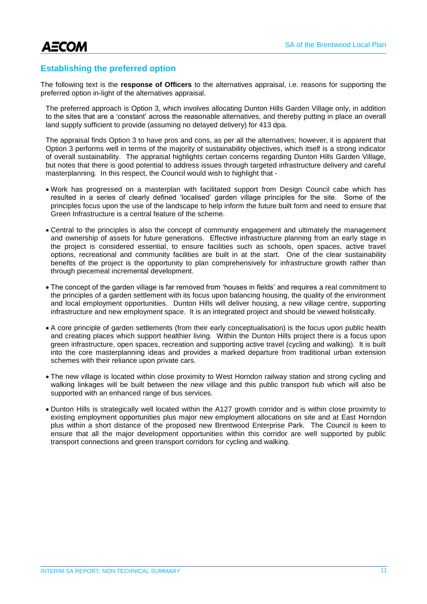**AECOM** 

### **Establishing the preferred option**

The following text is the **response of Officers** to the alternatives appraisal, i.e. reasons for supporting the preferred option in-light of the alternatives appraisal.

The preferred approach is Option 3, which involves allocating Dunton Hills Garden Village only, in addition to the sites that are a 'constant' across the reasonable alternatives, and thereby putting in place an overall land supply sufficient to provide (assuming no delayed delivery) for 413 dpa.

The appraisal finds Option 3 to have pros and cons, as per all the alternatives; however, it is apparent that Option 3 performs well in terms of the majority of sustainability objectives, which itself is a strong indicator of overall sustainability. The appraisal highlights certain concerns regarding Dunton Hills Garden Village, but notes that there is good potential to address issues through targeted infrastructure delivery and careful masterplanning. In this respect, the Council would wish to highlight that -

- Work has progressed on a masterplan with facilitated support from Design Council cabe which has resulted in a series of clearly defined 'localised' garden village principles for the site. Some of the principles focus upon the use of the landscape to help inform the future built form and need to ensure that Green Infrastructure is a central feature of the scheme.
- Central to the principles is also the concept of community engagement and ultimately the management and ownership of assets for future generations. Effective infrastructure planning from an early stage in the project is considered essential, to ensure facilities such as schools, open spaces, active travel options, recreational and community facilities are built in at the start. One of the clear sustainability benefits of the project is the opportunity to plan comprehensively for infrastructure growth rather than through piecemeal incremental development.
- The concept of the garden village is far removed from 'houses in fields' and requires a real commitment to the principles of a garden settlement with its focus upon balancing housing, the quality of the environment and local employment opportunities. Dunton Hills will deliver housing, a new village centre, supporting infrastructure and new employment space. It is an integrated project and should be viewed holistically.
- A core principle of garden settlements (from their early conceptualisation) is the focus upon public health and creating places which support healthier living. Within the Dunton Hills project there is a focus upon green infrastructure, open spaces, recreation and supporting active travel (cycling and walking). It is built into the core masterplanning ideas and provides a marked departure from traditional urban extension schemes with their reliance upon private cars.
- The new village is located within close proximity to West Horndon railway station and strong cycling and walking linkages will be built between the new village and this public transport hub which will also be supported with an enhanced range of bus services.
- Dunton Hills is strategically well located within the A127 growth corridor and is within close proximity to existing employment opportunities plus major new employment allocations on site and at East Horndon plus within a short distance of the proposed new Brentwood Enterprise Park. The Council is keen to ensure that all the major development opportunities within this corridor are well supported by public transport connections and green transport corridors for cycling and walking.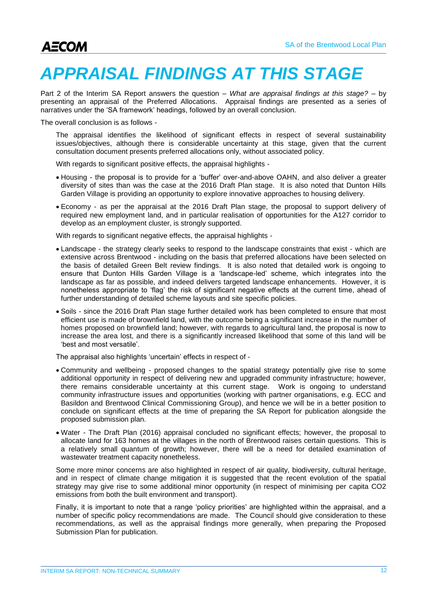# *APPRAISAL FINDINGS AT THIS STAGE*

Part 2 of the Interim SA Report answers the question – *What are appraisal findings at this stage?* – by presenting an appraisal of the Preferred Allocations. Appraisal findings are presented as a series of narratives under the 'SA framework' headings, followed by an overall conclusion.

The overall conclusion is as follows -

The appraisal identifies the likelihood of significant effects in respect of several sustainability issues/objectives, although there is considerable uncertainty at this stage, given that the current consultation document presents preferred allocations only, without associated policy.

With regards to significant positive effects, the appraisal highlights -

- Housing the proposal is to provide for a 'buffer' over-and-above OAHN, and also deliver a greater diversity of sites than was the case at the 2016 Draft Plan stage. It is also noted that Dunton Hills Garden Village is providing an opportunity to explore innovative approaches to housing delivery.
- Economy as per the appraisal at the 2016 Draft Plan stage, the proposal to support delivery of required new employment land, and in particular realisation of opportunities for the A127 corridor to develop as an employment cluster, is strongly supported.

With regards to significant negative effects, the appraisal highlights -

- Landscape the strategy clearly seeks to respond to the landscape constraints that exist which are extensive across Brentwood - including on the basis that preferred allocations have been selected on the basis of detailed Green Belt review findings. It is also noted that detailed work is ongoing to ensure that Dunton Hills Garden Village is a 'landscape-led' scheme, which integrates into the landscape as far as possible, and indeed delivers targeted landscape enhancements. However, it is nonetheless appropriate to 'flag' the risk of significant negative effects at the current time, ahead of further understanding of detailed scheme layouts and site specific policies.
- Soils since the 2016 Draft Plan stage further detailed work has been completed to ensure that most efficient use is made of brownfield land, with the outcome being a significant increase in the number of homes proposed on brownfield land; however, with regards to agricultural land, the proposal is now to increase the area lost, and there is a significantly increased likelihood that some of this land will be 'best and most versatile'.

The appraisal also highlights 'uncertain' effects in respect of -

- Community and wellbeing proposed changes to the spatial strategy potentially give rise to some additional opportunity in respect of delivering new and upgraded community infrastructure; however, there remains considerable uncertainty at this current stage. Work is ongoing to understand community infrastructure issues and opportunities (working with partner organisations, e.g. ECC and Basildon and Brentwood Clinical Commissioning Group), and hence we will be in a better position to conclude on significant effects at the time of preparing the SA Report for publication alongside the proposed submission plan.
- Water The Draft Plan (2016) appraisal concluded no significant effects; however, the proposal to allocate land for 163 homes at the villages in the north of Brentwood raises certain questions. This is a relatively small quantum of growth; however, there will be a need for detailed examination of wastewater treatment capacity nonetheless.

Some more minor concerns are also highlighted in respect of air quality, biodiversity, cultural heritage, and in respect of climate change mitigation it is suggested that the recent evolution of the spatial strategy may give rise to some additional minor opportunity (in respect of minimising per capita CO2 emissions from both the built environment and transport).

Finally, it is important to note that a range 'policy priorities' are highlighted within the appraisal, and a number of specific policy recommendations are made. The Council should give consideration to these recommendations, as well as the appraisal findings more generally, when preparing the Proposed Submission Plan for publication.